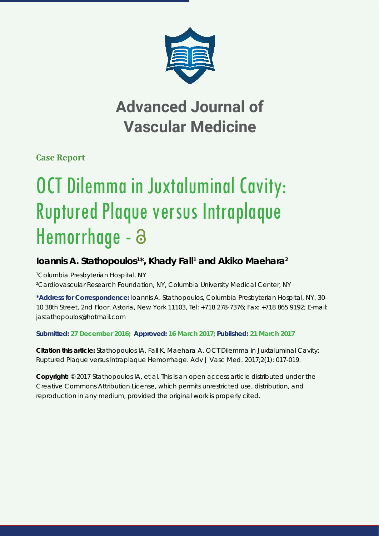

## **Advanced Journal of Vascular Medicine**

**Case Report**

# OCT Dilemma in Juxtaluminal Cavity: Ruptured Plaque versus Intraplaque Hemorrhage - a

### **Ioannis A. Stathopoulos1 \*, Khady Fall1 and Akiko Maehara2**

*1 Columbia Presbyterian Hospital, NY*

*2 Cardiovascular Research Foundation, NY, Columbia University Medical Center, NY*

**\*Address for Correspondence:** Ioannis A. Stathopoulos, Columbia Presbyterian Hospital, NY, 30- 10 38th Street, 2nd Floor, Astoria, New York 11103, Tel: +718 278-7376; Fax: +718 865 9192; E-mail: jastathopoulos@hotmail.com

#### **Submitted: 27 December 2016; Approved: 16 March 2017; Published: 21 March 2017**

**Citation this article:** Stathopoulos IA, Fall K, Maehara A. OCT Dilemma in Juxtaluminal Cavity: Ruptured Plaque versus Intraplaque Hemorrhage. Adv J Vasc Med. 2017;2(1): 017-019.

**Copyright:** © 2017 Stathopoulos IA, et al. This is an open access article distributed under the Creative Commons Attribution License, which permits unrestricted use, distribution, and reproduction in any medium, provided the original work is properly cited.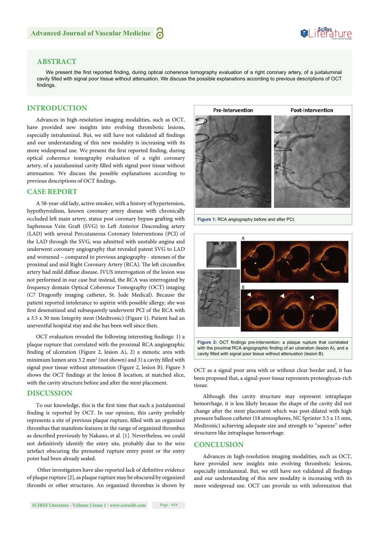## Suifes ture

#### **ABSTRACT**

We present the first reported finding, during optical coherence tomography evaluation of a right coronary artery, of a juxtaluminal cavity filled with signal poor tissue without attenuation. We discuss the possible explanations according to previous descriptions of OCT findings.

#### **INTRODUCTION**

Advances in high-resolution imaging modalities, such as OCT, have provided new insights into evolving thrombotic lesions, especially intraluminal. But, we still have not validated all findings and our understanding of this new modality is increasing with its more widespread use. We present the first reported finding, during optical coherence tomography evaluation of a right coronary artery, of a juxtaluminal cavity filled with signal poor tissue without attenuation. We discuss the possible explanations according to previous descriptions of OCT findings.

#### **CASE REPORT**

A 58-year-old lady, active smoker, with a history of hypertension, hypothyroidism, known coronary artery disease with chronically occluded left main artery, status post coronary bypass grafting with Saphenous Vein Graft (SVG) to Left Anterior Descending artery (LAD) with several Percutaneous Coronary Interventions (PCI) of the LAD through the SVG, was admitted with unstable angina and underwent coronary angiography that revealed patent SVG to LAD and worsened – compared to previous angiography - stenoses of the proximal and mid Right Coronary Artery (RCA). The left circumflex artery had mild diffuse disease. IVUS interrogation of the lesion was not performed in our case but instead, the RCA was interrogated by frequency domain Optical Coherence Tomography (OCT) imaging (C7 Dragonfly imaging catheter, St. Jude Medical). Because the patient reported intolerance to aspirin with possible allergy, she was first desensitized and subsequently underwent PCI of the RCA with a 3.5 x 30 mm Integrity stent (Medtronic) (Figure 1). Patient had an uneventful hospital stay and she has been well since then.

OCT evaluation revealed the following interesting findings: 1) a plaque rupture that correlated with the proximal RCA angiographic finding of ulceration (Figure 2, lesion A), 2) a stenotic area with minimum lumen area  $3.2 \text{ mm}^2$  (not shown) and 3) a cavity filled with signal poor tissue without attenuation (Figure 2, lesion B). Figure 3 shows the OCT findings at the lesion B location, at matched slice, with the cavity structure before and after the stent placement.

#### **DISCUSSION**

To our knowledge, this is the first time that such a juxtaluminal finding is reported by OCT. In our opinion, this cavity probably represents a site of previous plaque rupture, filled with an organized thrombus that manifests features in the range of organized thrombus as described previously by Nakano, et al. [1]. Nevertheless, we could not definitively identify the entry site, probably due to the wire artefact obscuring the presumed rupture entry point or the entry point had been already sealed.

Other investigators have also reported lack of definitive evidence of plaque rupture [2], as plaque rupture may be obscured by organized thrombi or other structures. An organized thrombus is shown by



**Figure 1:** RCA angiography before and after PCI.



with the proximal RCA angiographic finding of an ulceration (lesion A), and a cavity filled with signal poor tissue without attenuation (lesion B).

OCT as a signal poor area with or without clear border and, it has been proposed that, a signal-poor tissue represents proteoglycan-rich tissue.

Although this cavity structure may represent intraplaque hemorrhage, it is less likely because the shape of the cavity did not change after the stent placement which was post-dilated with high pressure balloon catheter (18 atmospheres, NC Sprinter 3.5 x 15 mm, Medtronic) achieving adequate size and strength to "squeeze" softer structures like intraplaque hemorrhage.

#### **CONCLUSION**

Advances in high-resolution imaging modalities, such as OCT, have provided new insights into evolving thrombotic lesions, especially intraluminal. But, we still have not validated all findings and our understanding of this new modality is increasing with its more widespread use. OCT can provide us with information that